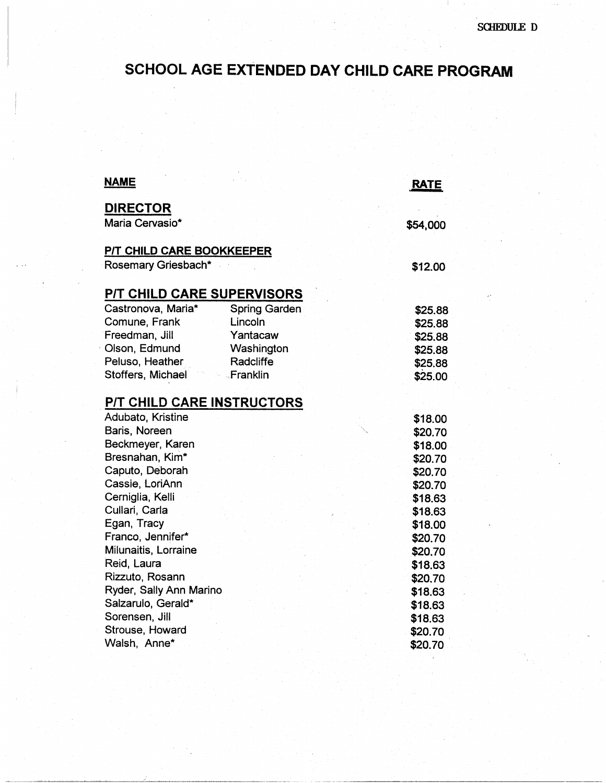## SCHOOL AGE EXTENDED DAY CHILD CARE PROGRAM

| <b>NAME</b>                                      | <b>RATE</b> |
|--------------------------------------------------|-------------|
| <b>DIRECTOR</b><br>Maria Cervasio*               | \$54,000    |
| P/T CHILD CARE BOOKKEEPER<br>Rosemary Griesbach* | \$12.00     |
| P/T CHILD CARE SUPERVISORS                       |             |
| Castronova, Maria*<br>Spring Garden              | \$25.88     |
| Comune, Frank<br>Lincoln                         | \$25,88     |
| Freedman, Jill<br>Yantacaw                       | \$25.88     |
| Olson, Edmund<br>Washington                      | \$25.88     |
| Peluso, Heather<br>Radcliffe                     | \$25.88     |
| Stoffers, Michael<br>Franklin                    | \$25.00     |
| P/T CHILD CARE INSTRUCTORS                       |             |
| Adubato, Kristine                                | \$18.00     |
| Baris, Noreen                                    | \$20.70     |
| Beckmeyer, Karen                                 | \$18.00     |
| Bresnahan, Kim*                                  | \$20.70     |
| Caputo, Deborah                                  | \$20.70     |
| Cassie, LoriAnn                                  | \$20.70     |
| Cerniglia, Kelli                                 | \$18.63     |
| Cullari, Carla                                   | \$18.63     |
| Egan, Tracy                                      | \$18.00     |
| Franco, Jennifer*                                | \$20,70     |
| Milunaitis, Lorraine                             | \$20.70     |
| Reid, Laura                                      | \$18,63     |
| Rizzuto, Rosann                                  | \$20.70     |
| Ryder, Sally Ann Marino                          | \$18.63     |
| Salzarulo, Gerald*                               | \$18.63     |
| Sorensen, Jill                                   | \$18.63     |
| Strouse, Howard                                  | \$20.70     |
| Walsh, Anne*                                     | \$20.70     |